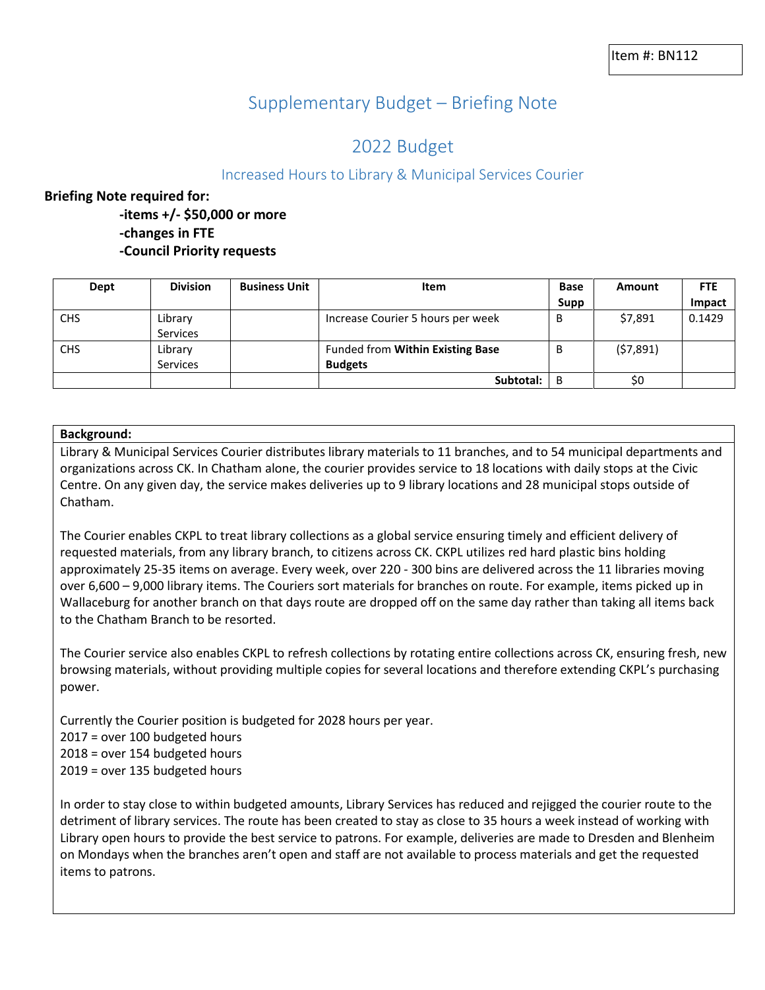# Supplementary Budget – Briefing Note

## 2022 Budget

### Increased Hours to Library & Municipal Services Courier

#### **Briefing Note required for:**

**-items +/- \$50,000 or more -changes in FTE -Council Priority requests**

| Dept       | <b>Division</b> | <b>Business Unit</b> | <b>Item</b>                       | <b>Base</b> | Amount   | <b>FTE</b> |
|------------|-----------------|----------------------|-----------------------------------|-------------|----------|------------|
|            |                 |                      |                                   | <b>Supp</b> |          | Impact     |
| <b>CHS</b> | Library         |                      | Increase Courier 5 hours per week | В           | \$7,891  | 0.1429     |
|            | Services        |                      |                                   |             |          |            |
| <b>CHS</b> | Library         |                      | Funded from Within Existing Base  | В           | (57,891) |            |
|            | Services        |                      | <b>Budgets</b>                    |             |          |            |
|            |                 |                      | Subtotal:                         | B           | \$0      |            |

#### **Background:**

Library & Municipal Services Courier distributes library materials to 11 branches, and to 54 municipal departments and organizations across CK. In Chatham alone, the courier provides service to 18 locations with daily stops at the Civic Centre. On any given day, the service makes deliveries up to 9 library locations and 28 municipal stops outside of Chatham.

The Courier enables CKPL to treat library collections as a global service ensuring timely and efficient delivery of requested materials, from any library branch, to citizens across CK. CKPL utilizes red hard plastic bins holding approximately 25-35 items on average. Every week, over 220 - 300 bins are delivered across the 11 libraries moving over 6,600 – 9,000 library items. The Couriers sort materials for branches on route. For example, items picked up in Wallaceburg for another branch on that days route are dropped off on the same day rather than taking all items back to the Chatham Branch to be resorted.

The Courier service also enables CKPL to refresh collections by rotating entire collections across CK, ensuring fresh, new browsing materials, without providing multiple copies for several locations and therefore extending CKPL's purchasing power.

Currently the Courier position is budgeted for 2028 hours per year. 2017 = over 100 budgeted hours 2018 = over 154 budgeted hours 2019 = over 135 budgeted hours

In order to stay close to within budgeted amounts, Library Services has reduced and rejigged the courier route to the detriment of library services. The route has been created to stay as close to 35 hours a week instead of working with Library open hours to provide the best service to patrons. For example, deliveries are made to Dresden and Blenheim on Mondays when the branches aren't open and staff are not available to process materials and get the requested items to patrons.